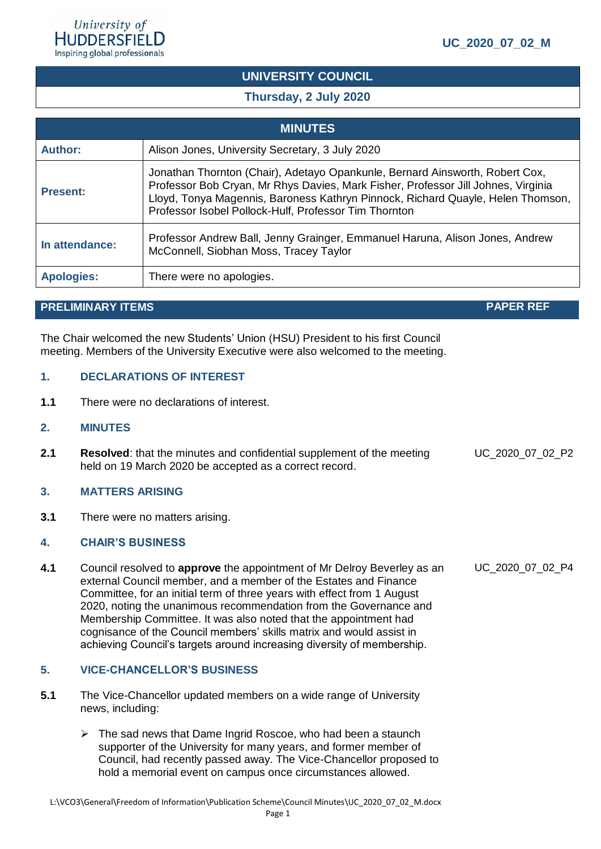# **UNIVERSITY COUNCIL**

# **Thursday, 2 July 2020**

| <b>MINUTES</b>    |                                                                                                                                                                                                                                                                                                               |  |  |
|-------------------|---------------------------------------------------------------------------------------------------------------------------------------------------------------------------------------------------------------------------------------------------------------------------------------------------------------|--|--|
| <b>Author:</b>    | Alison Jones, University Secretary, 3 July 2020                                                                                                                                                                                                                                                               |  |  |
| <b>Present:</b>   | Jonathan Thornton (Chair), Adetayo Opankunle, Bernard Ainsworth, Robert Cox,<br>Professor Bob Cryan, Mr Rhys Davies, Mark Fisher, Professor Jill Johnes, Virginia<br>Lloyd, Tonya Magennis, Baroness Kathryn Pinnock, Richard Quayle, Helen Thomson,<br>Professor Isobel Pollock-Hulf, Professor Tim Thornton |  |  |
| In attendance:    | Professor Andrew Ball, Jenny Grainger, Emmanuel Haruna, Alison Jones, Andrew<br>McConnell, Siobhan Moss, Tracey Taylor                                                                                                                                                                                        |  |  |
| <b>Apologies:</b> | There were no apologies.                                                                                                                                                                                                                                                                                      |  |  |

# **PRELIMINARY ITEMS PAPER REF**

The Chair welcomed the new Students' Union (HSU) President to his first Council meeting. Members of the University Executive were also welcomed to the meeting.

### **1. DECLARATIONS OF INTEREST**

**1.1** There were no declarations of interest.

#### **2. MINUTES**

**2.1 Resolved**: that the minutes and confidential supplement of the meeting held on 19 March 2020 be accepted as a correct record.

# **3. MATTERS ARISING**

**3.1** There were no matters arising.

# **4. CHAIR'S BUSINESS**

**4.1** Council resolved to **approve** the appointment of Mr Delroy Beverley as an external Council member, and a member of the Estates and Finance Committee, for an initial term of three years with effect from 1 August 2020, noting the unanimous recommendation from the Governance and Membership Committee. It was also noted that the appointment had cognisance of the Council members' skills matrix and would assist in achieving Council's targets around increasing diversity of membership.

# **5. VICE-CHANCELLOR'S BUSINESS**

- **5.1** The Vice-Chancellor updated members on a wide range of University news, including:
	- ➢ The sad news that Dame Ingrid Roscoe, who had been a staunch supporter of the University for many years, and former member of Council, had recently passed away. The Vice-Chancellor proposed to hold a memorial event on campus once circumstances allowed.

UC\_2020\_07\_02\_P2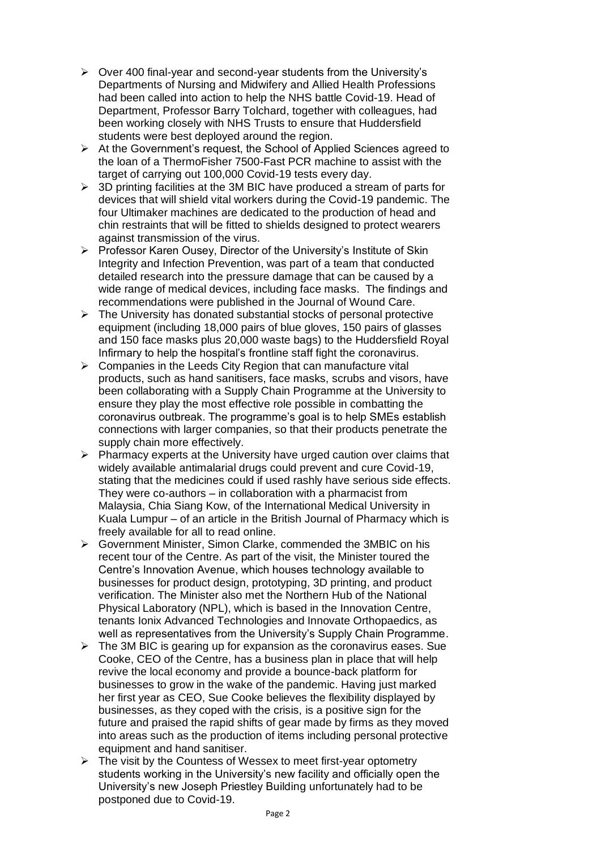- ➢ Over 400 final-year and second-year students from the University's Departments of Nursing and Midwifery and Allied Health Professions had been called into action to help the NHS battle Covid-19. Head of Department, Professor Barry Tolchard, together with colleagues, had been working closely with NHS Trusts to ensure that Huddersfield students were best deployed around the region.
- ➢ At the Government's request, the School of Applied Sciences agreed to the loan of a ThermoFisher 7500-Fast PCR machine to assist with the target of carrying out 100,000 Covid-19 tests every day.
- ➢ 3D printing facilities at the 3M BIC have produced a stream of parts for devices that will shield vital workers during the Covid-19 pandemic. The four Ultimaker machines are dedicated to the production of head and chin restraints that will be fitted to shields designed to protect wearers against transmission of the virus.
- ➢ Professor Karen Ousey, Director of the University's Institute of Skin Integrity and Infection Prevention, was part of a team that conducted detailed research into the pressure damage that can be caused by a wide range of medical devices, including face masks. The findings and recommendations were published in the Journal of Wound Care.
- ➢ The University has donated substantial stocks of personal protective equipment (including 18,000 pairs of blue gloves, 150 pairs of glasses and 150 face masks plus 20,000 waste bags) to the Huddersfield Royal Infirmary to help the hospital's frontline staff fight the coronavirus.
- $\triangleright$  Companies in the Leeds City Region that can manufacture vital products, such as hand sanitisers, face masks, scrubs and visors, have been collaborating with a Supply Chain Programme at the University to ensure they play the most effective role possible in combatting the coronavirus outbreak. The programme's goal is to help SMEs establish connections with larger companies, so that their products penetrate the supply chain more effectively.
- ➢ Pharmacy experts at the University have urged caution over claims that widely available antimalarial drugs could prevent and cure Covid-19, stating that the medicines could if used rashly have serious side effects. They were co-authors – in collaboration with a pharmacist from Malaysia, Chia Siang Kow, of the International Medical University in Kuala Lumpur – of an article in the [British Journal of Pharmacy](https://www.bjpharm.org.uk/) which is freely available for all to read online.
- ➢ Government Minister, Simon Clarke, commended the 3MBIC on his recent tour of the Centre. As part of the visit, the Minister toured the Centre's Innovation Avenue, which houses technology available to businesses for product design, prototyping, 3D printing, and product verification. The Minister also met the Northern Hub of the National Physical Laboratory (NPL), which is based in the Innovation Centre, tenants Ionix Advanced Technologies and Innovate Orthopaedics, as well as representatives from the University's Supply Chain Programme.
- $\triangleright$  The 3M BIC is gearing up for expansion as the coronavirus eases. Sue Cooke, CEO of the Centre, has a business plan in place that will help revive the local economy and provide a bounce-back platform for businesses to grow in the wake of the pandemic. Having just marked her first year as CEO, Sue Cooke believes the flexibility displayed by businesses, as they coped with the crisis, is a positive sign for the future and praised the rapid shifts of gear made by firms as they moved into areas such as the production of items including personal protective equipment and hand sanitiser.
- $\triangleright$  The visit by the Countess of Wessex to meet first-year optometry students working in the University's new facility and officially open the University's new Joseph Priestley Building unfortunately had to be postponed due to Covid-19.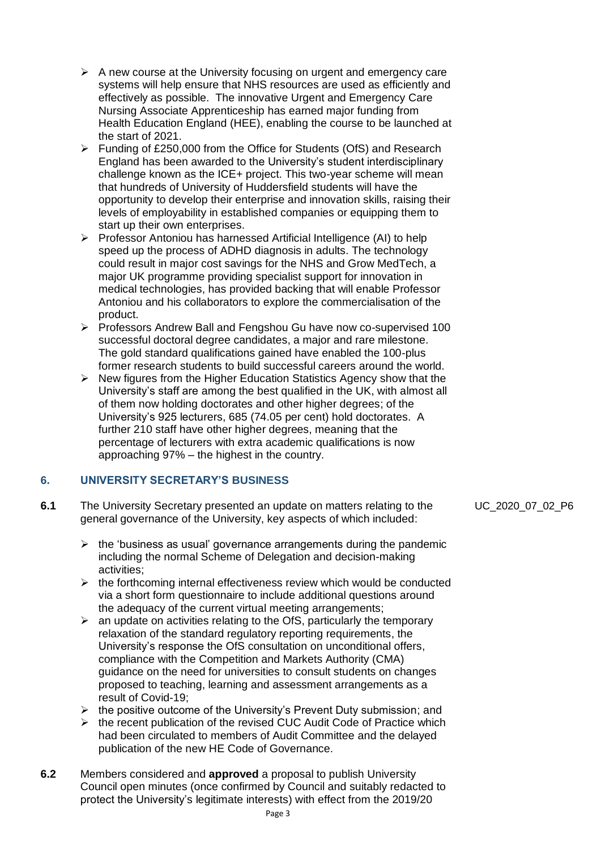- $\triangleright$  A new course at the University focusing on urgent and emergency care systems will help ensure that NHS resources are used as efficiently and effectively as possible. The innovative Urgent and Emergency Care Nursing Associate Apprenticeship has earned major funding from Health Education England (HEE), enabling the course to be launched at the start of 2021.
- ➢ Funding of £250,000 from the Office for Students (OfS) and Research England has been awarded to the University's student interdisciplinary challenge known as the ICE+ project. This two-year scheme will mean that hundreds of University of Huddersfield students will have the opportunity to develop their enterprise and innovation skills, raising their levels of employability in established companies or equipping them to start up their own enterprises.
- ➢ Professor Antoniou has harnessed Artificial Intelligence (AI) to help speed up the process of ADHD diagnosis in adults. The technology could result in major cost savings for the NHS and Grow MedTech, a major UK programme providing specialist support for innovation in medical technologies, has provided backing that will enable Professor Antoniou and his collaborators to explore the commercialisation of the product.
- ➢ Professors Andrew Ball and Fengshou Gu have now co-supervised 100 successful doctoral degree candidates, a major and rare milestone. The gold standard qualifications gained have enabled the 100-plus former research students to build successful careers around the world.
- ➢ New figures from the Higher Education Statistics Agency show that the University's staff are among the best qualified in the UK, with almost all of them now holding doctorates and other higher degrees; of the University's 925 lecturers, 685 (74.05 per cent) hold doctorates. A further 210 staff have other higher degrees, meaning that the percentage of lecturers with extra academic qualifications is now approaching 97% – the highest in the country.

# **6. UNIVERSITY SECRETARY'S BUSINESS**

- **6.1** The University Secretary presented an update on matters relating to the general governance of the University, key aspects of which included:
	- $\triangleright$  the 'business as usual' governance arrangements during the pandemic including the normal Scheme of Delegation and decision-making activities;
	- $\triangleright$  the forthcoming internal effectiveness review which would be conducted via a short form questionnaire to include additional questions around the adequacy of the current virtual meeting arrangements;
	- $\triangleright$  an update on activities relating to the OfS, particularly the temporary relaxation of the standard regulatory reporting requirements, the University's response the OfS consultation on unconditional offers, compliance with the Competition and Markets Authority (CMA) guidance on the need for universities to consult students on changes proposed to teaching, learning and assessment arrangements as a result of Covid-19;
	- $\triangleright$  the positive outcome of the University's Prevent Duty submission; and
	- ➢ the recent publication of the revised CUC Audit Code of Practice which had been circulated to members of Audit Committee and the delayed publication of the new HE Code of Governance.
- **6.2** Members considered and **approved** a proposal to publish University Council open minutes (once confirmed by Council and suitably redacted to protect the University's legitimate interests) with effect from the 2019/20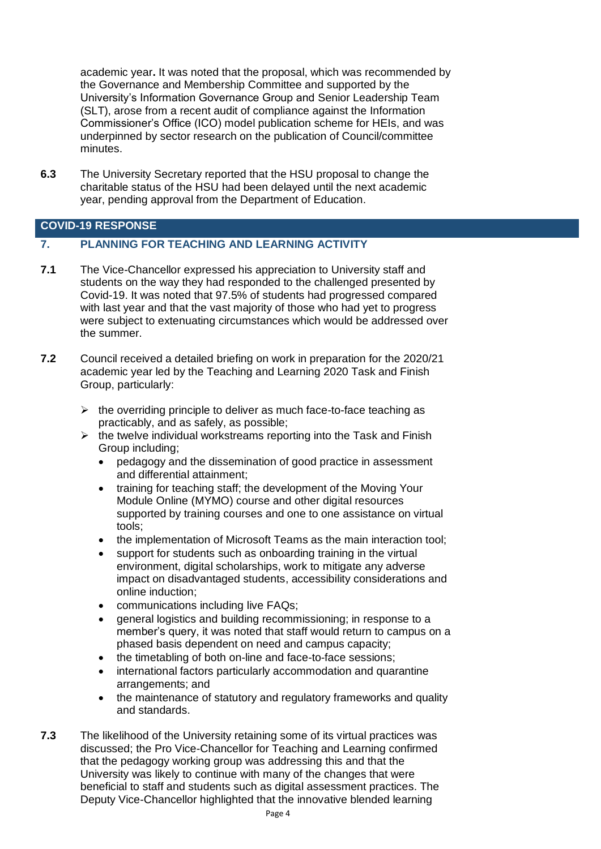academic year**.** It was noted that the proposal, which was recommended by the Governance and Membership Committee and supported by the University's Information Governance Group and Senior Leadership Team (SLT), arose from a recent audit of compliance against the Information Commissioner's Office (ICO) model publication scheme for HEIs, and was underpinned by sector research on the publication of Council/committee minutes.

**6.3** The University Secretary reported that the HSU proposal to change the charitable status of the HSU had been delayed until the next academic year, pending approval from the Department of Education.

# **COVID-19 RESPONSE**

# **7. PLANNING FOR TEACHING AND LEARNING ACTIVITY**

- **7.1** The Vice-Chancellor expressed his appreciation to University staff and students on the way they had responded to the challenged presented by Covid-19. It was noted that 97.5% of students had progressed compared with last year and that the vast majority of those who had yet to progress were subject to extenuating circumstances which would be addressed over the summer.
- **7.2** Council received a detailed briefing on work in preparation for the 2020/21 academic year led by the Teaching and Learning 2020 Task and Finish Group, particularly:
	- $\triangleright$  the overriding principle to deliver as much face-to-face teaching as practicably, and as safely, as possible;
	- $\triangleright$  the twelve individual workstreams reporting into the Task and Finish Group including;
		- pedagogy and the dissemination of good practice in assessment and differential attainment;
		- training for teaching staff; the development of the Moving Your Module Online (MYMO) course and other digital resources supported by training courses and one to one assistance on virtual tools;
		- the implementation of Microsoft Teams as the main interaction tool;
		- support for students such as onboarding training in the virtual environment, digital scholarships, work to mitigate any adverse impact on disadvantaged students, accessibility considerations and online induction;
		- communications including live FAQs;
		- general logistics and building recommissioning; in response to a member's query, it was noted that staff would return to campus on a phased basis dependent on need and campus capacity;
		- the timetabling of both on-line and face-to-face sessions;
		- international factors particularly accommodation and quarantine arrangements; and
		- the maintenance of statutory and regulatory frameworks and quality and standards.
- **7.3** The likelihood of the University retaining some of its virtual practices was discussed; the Pro Vice-Chancellor for Teaching and Learning confirmed that the pedagogy working group was addressing this and that the University was likely to continue with many of the changes that were beneficial to staff and students such as digital assessment practices. The Deputy Vice-Chancellor highlighted that the innovative blended learning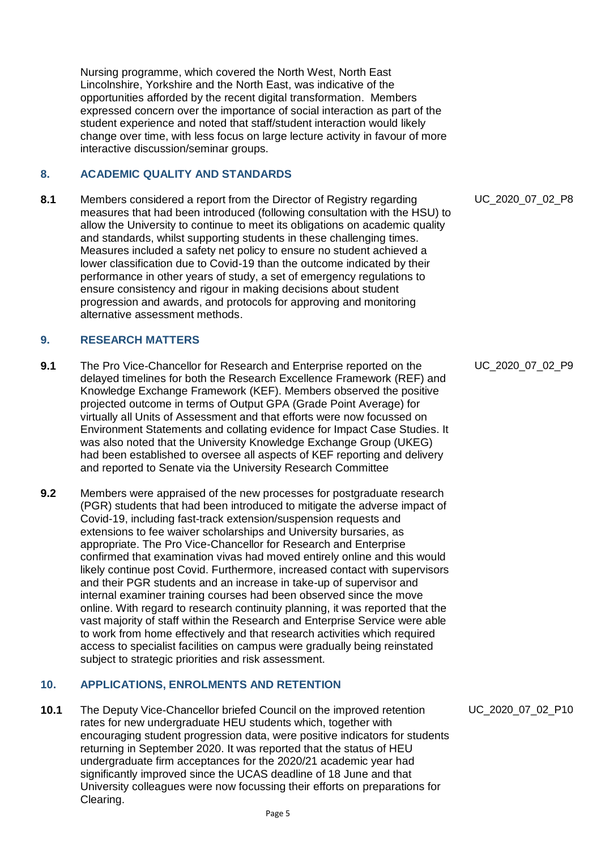Nursing programme, which covered the North West, North East Lincolnshire, Yorkshire and the North East, was indicative of the opportunities afforded by the recent digital transformation. Members expressed concern over the importance of social interaction as part of the student experience and noted that staff/student interaction would likely change over time, with less focus on large lecture activity in favour of more interactive discussion/seminar groups.

# **8. ACADEMIC QUALITY AND STANDARDS**

**8.1** Members considered a report from the Director of Registry regarding measures that had been introduced (following consultation with the HSU) to allow the University to continue to meet its obligations on academic quality and standards, whilst supporting students in these challenging times. Measures included a safety net policy to ensure no student achieved a lower classification due to Covid-19 than the outcome indicated by their performance in other years of study, a set of emergency regulations to ensure consistency and rigour in making decisions about student progression and awards, and protocols for approving and monitoring alternative assessment methods.

# **9. RESEARCH MATTERS**

- **9.1** The Pro Vice-Chancellor for Research and Enterprise reported on the delayed timelines for both the Research Excellence Framework (REF) and Knowledge Exchange Framework (KEF). Members observed the positive projected outcome in terms of Output GPA (Grade Point Average) for virtually all Units of Assessment and that efforts were now focussed on Environment Statements and collating evidence for Impact Case Studies. It was also noted that the University Knowledge Exchange Group (UKEG) had been established to oversee all aspects of KEF reporting and delivery and reported to Senate via the University Research Committee
- **9.2** Members were appraised of the new processes for postgraduate research (PGR) students that had been introduced to mitigate the adverse impact of Covid-19, including fast-track extension/suspension requests and extensions to fee waiver scholarships and University bursaries, as appropriate. The Pro Vice-Chancellor for Research and Enterprise confirmed that examination vivas had moved entirely online and this would likely continue post Covid. Furthermore, increased contact with supervisors and their PGR students and an increase in take-up of supervisor and internal examiner training courses had been observed since the move online. With regard to research continuity planning, it was reported that the vast majority of staff within the Research and Enterprise Service were able to work from home effectively and that research activities which required access to specialist facilities on campus were gradually being reinstated subject to strategic priorities and risk assessment.

# **10. APPLICATIONS, ENROLMENTS AND RETENTION**

**10.1** The Deputy Vice-Chancellor briefed Council on the improved retention rates for new undergraduate HEU students which, together with encouraging student progression data, were positive indicators for students returning in September 2020. It was reported that the status of HEU undergraduate firm acceptances for the 2020/21 academic year had significantly improved since the UCAS deadline of 18 June and that University colleagues were now focussing their efforts on preparations for Clearing.

UC\_2020\_07\_02\_P8

UC\_2020\_07\_02\_P9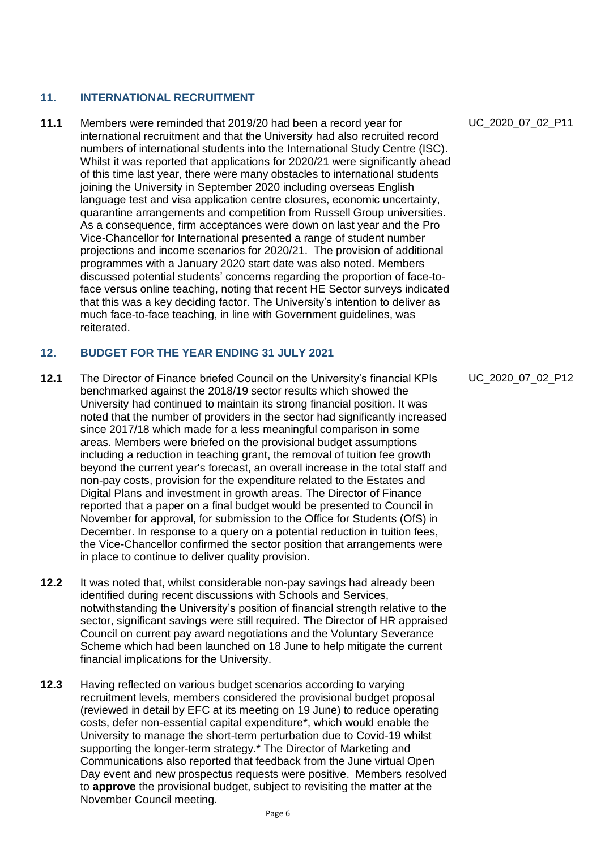# **11. INTERNATIONAL RECRUITMENT**

**11.1** Members were reminded that 2019/20 had been a record year for international recruitment and that the University had also recruited record numbers of international students into the International Study Centre (ISC). Whilst it was reported that applications for 2020/21 were significantly ahead of this time last year, there were many obstacles to international students joining the University in September 2020 including overseas English language test and visa application centre closures, economic uncertainty, quarantine arrangements and competition from Russell Group universities. As a consequence, firm acceptances were down on last year and the Pro Vice-Chancellor for International presented a range of student number projections and income scenarios for 2020/21. The provision of additional programmes with a January 2020 start date was also noted. Members discussed potential students' concerns regarding the proportion of face-toface versus online teaching, noting that recent HE Sector surveys indicated that this was a key deciding factor. The University's intention to deliver as much face-to-face teaching, in line with Government guidelines, was reiterated.

# **12. BUDGET FOR THE YEAR ENDING 31 JULY 2021**

- **12.1** The Director of Finance briefed Council on the University's financial KPIs benchmarked against the 2018/19 sector results which showed the University had continued to maintain its strong financial position. It was noted that the number of providers in the sector had significantly increased since 2017/18 which made for a less meaningful comparison in some areas. Members were briefed on the provisional budget assumptions including a reduction in teaching grant, the removal of tuition fee growth beyond the current year's forecast, an overall increase in the total staff and non-pay costs, provision for the expenditure related to the Estates and Digital Plans and investment in growth areas. The Director of Finance reported that a paper on a final budget would be presented to Council in November for approval, for submission to the Office for Students (OfS) in December. In response to a query on a potential reduction in tuition fees, the Vice-Chancellor confirmed the sector position that arrangements were in place to continue to deliver quality provision.
- **12.2** It was noted that, whilst considerable non-pay savings had already been identified during recent discussions with Schools and Services, notwithstanding the University's position of financial strength relative to the sector, significant savings were still required. The Director of HR appraised Council on current pay award negotiations and the Voluntary Severance Scheme which had been launched on 18 June to help mitigate the current financial implications for the University.
- **12.3** Having reflected on various budget scenarios according to varying recruitment levels, members considered the provisional budget proposal (reviewed in detail by EFC at its meeting on 19 June) to reduce operating costs, defer non-essential capital expenditure\*, which would enable the University to manage the short-term perturbation due to Covid-19 whilst supporting the longer-term strategy.\* The Director of Marketing and Communications also reported that feedback from the June virtual Open Day event and new prospectus requests were positive. Members resolved to **approve** the provisional budget, subject to revisiting the matter at the November Council meeting.

UC\_2020\_07\_02\_P11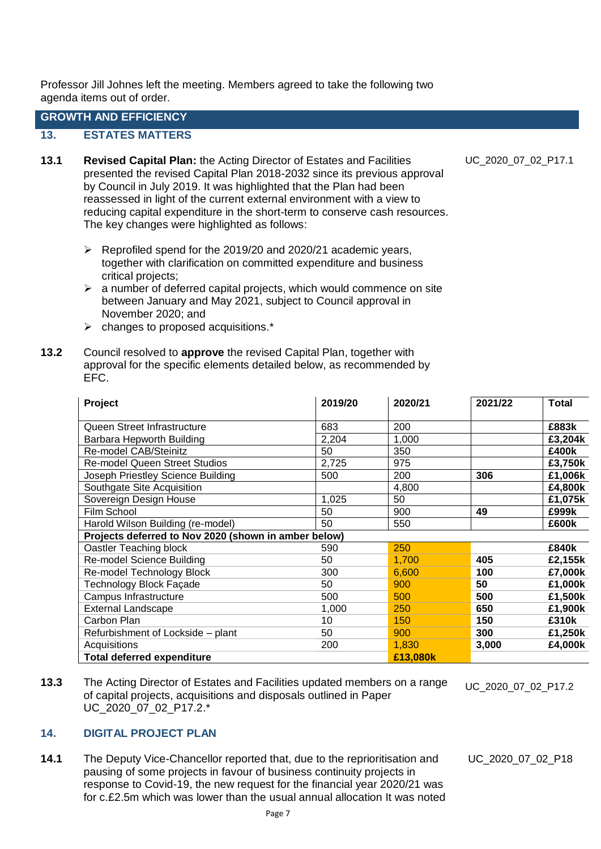Professor Jill Johnes left the meeting. Members agreed to take the following two agenda items out of order.

# **GROWTH AND EFFICIENCY**

## **13. ESTATES MATTERS**

- **13.1 Revised Capital Plan:** the Acting Director of Estates and Facilities presented the revised Capital Plan 2018-2032 since its previous approval by Council in July 2019. It was highlighted that the Plan had been reassessed in light of the current external environment with a view to reducing capital expenditure in the short-term to conserve cash resources. The key changes were highlighted as follows:
	- ➢ Reprofiled spend for the 2019/20 and 2020/21 academic years, together with clarification on committed expenditure and business critical projects;
	- $\triangleright$  a number of deferred capital projects, which would commence on site between January and May 2021, subject to Council approval in November 2020; and
	- ➢ changes to proposed acquisitions.\*
- **13.2** Council resolved to **approve** the revised Capital Plan, together with approval for the specific elements detailed below, as recommended by EFC.

| Project                                              | 2019/20  | 2020/21 | 2021/22 | <b>Total</b> |
|------------------------------------------------------|----------|---------|---------|--------------|
| Queen Street Infrastructure                          | 683      | 200     |         | £883k        |
| Barbara Hepworth Building                            | 2,204    | 1,000   |         | £3,204k      |
| Re-model CAB/Steinitz                                | 50       | 350     |         | £400k        |
| <b>Re-model Queen Street Studios</b>                 | 2,725    | 975     |         | £3,750k      |
| Joseph Priestley Science Building                    | 500      | 200     | 306     | £1,006k      |
| Southgate Site Acquisition                           |          | 4,800   |         | £4,800k      |
| Sovereign Design House                               | 1,025    | 50      |         | £1,075k      |
| Film School                                          | 50       | 900     | 49      | £999k        |
| Harold Wilson Building (re-model)                    | 50       | 550     |         | £600k        |
| Projects deferred to Nov 2020 (shown in amber below) |          |         |         |              |
| Oastler Teaching block                               | 590      | 250     |         | £840k        |
| Re-model Science Building                            | 50       | 1,700   | 405     | £2,155k      |
| Re-model Technology Block                            | 300      | 6,600   | 100     | £7,000k      |
| Technology Block Façade                              | 50       | 900     | 50      | £1,000k      |
| Campus Infrastructure                                | 500      | 500     | 500     | £1,500k      |
| <b>External Landscape</b>                            | 1,000    | 250     | 650     | £1,900k      |
| Carbon Plan                                          | 10       | 150     | 150     | £310k        |
| Refurbishment of Lockside - plant                    | 50       | 900     | 300     | £1,250k      |
| Acquisitions                                         | 200      | 1,830   | 3,000   | £4,000k      |
| <b>Total deferred expenditure</b>                    | £13,080k |         |         |              |

**13.3** The Acting Director of Estates and Facilities updated members on a range of capital projects, acquisitions and disposals outlined in Paper UC\_2020\_07\_02\_P17.2.\*

UC\_2020\_07\_02\_P17.2

# **14. DIGITAL PROJECT PLAN**

**14.1** The Deputy Vice-Chancellor reported that, due to the reprioritisation and pausing of some projects in favour of business continuity projects in response to Covid-19, the new request for the financial year 2020/21 was for c.£2.5m which was lower than the usual annual allocation It was noted **U**UC\_2020\_07\_02\_P18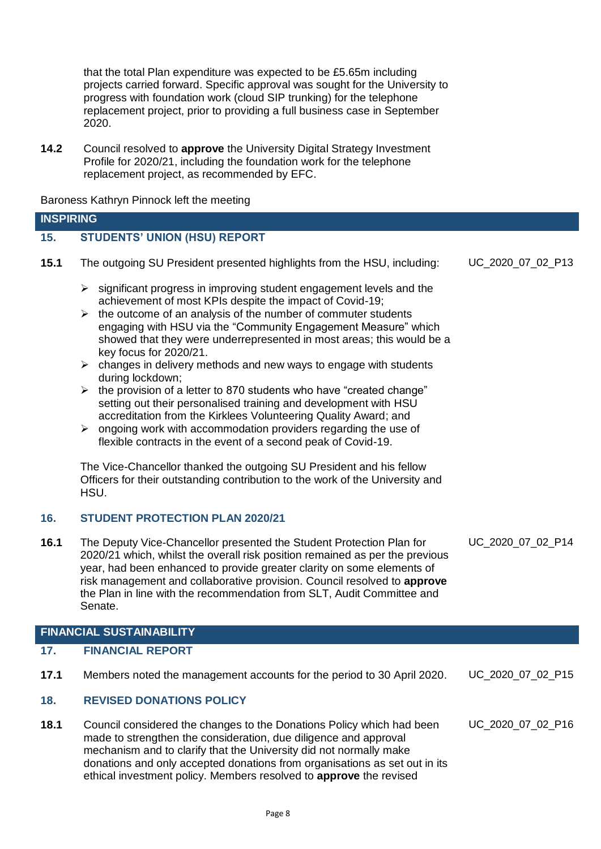that the total Plan expenditure was expected to be £5.65m including projects carried forward. Specific approval was sought for the University to progress with foundation work (cloud SIP trunking) for the telephone replacement project, prior to providing a full business case in September 2020.

**14.2** Council resolved to **approve** the University Digital Strategy Investment Profile for 2020/21, including the foundation work for the telephone replacement project, as recommended by EFC.

Baroness Kathryn Pinnock left the meeting

| <b>INSPIRING</b> |                                     |
|------------------|-------------------------------------|
|                  | <b>STUDENTS' UNION (HSU) REPORT</b> |

UC\_2020\_07\_02\_P13

- **15.1** The outgoing SU President presented highlights from the HSU, including:
	- $\triangleright$  significant progress in improving student engagement levels and the achievement of most KPIs despite the impact of Covid-19;
	- $\triangleright$  the outcome of an analysis of the number of commuter students engaging with HSU via the "Community Engagement Measure" which showed that they were underrepresented in most areas; this would be a key focus for 2020/21.
	- $\triangleright$  changes in delivery methods and new ways to engage with students during lockdown;
	- $\triangleright$  the provision of a letter to 870 students who have "created change" setting out their personalised training and development with HSU accreditation from the Kirklees Volunteering Quality Award; and
	- $\triangleright$  ongoing work with accommodation providers regarding the use of flexible contracts in the event of a second peak of Covid-19.

The Vice-Chancellor thanked the outgoing SU President and his fellow Officers for their outstanding contribution to the work of the University and HSU.

# **16. STUDENT PROTECTION PLAN 2020/21**

**16.1** The Deputy Vice-Chancellor presented the Student Protection Plan for 2020/21 which, whilst the overall risk position remained as per the previous year, had been enhanced to provide greater clarity on some elements of risk management and collaborative provision. Council resolved to **approve** the Plan in line with the recommendation from SLT, Audit Committee and Senate. UC\_2020\_07\_02\_P14

#### **FINANCIAL SUSTAINABILITY**

#### **17. FINANCIAL REPORT**

**17.1** Members noted the management accounts for the period to 30 April 2020. UC\_2020\_07\_02\_P15

# **18. REVISED DONATIONS POLICY**

**18.1** Council considered the changes to the Donations Policy which had been made to strengthen the consideration, due diligence and approval mechanism and to clarify that the University did not normally make donations and only accepted donations from organisations as set out in its ethical investment policy. Members resolved to **approve** the revised UC\_2020\_07\_02\_P16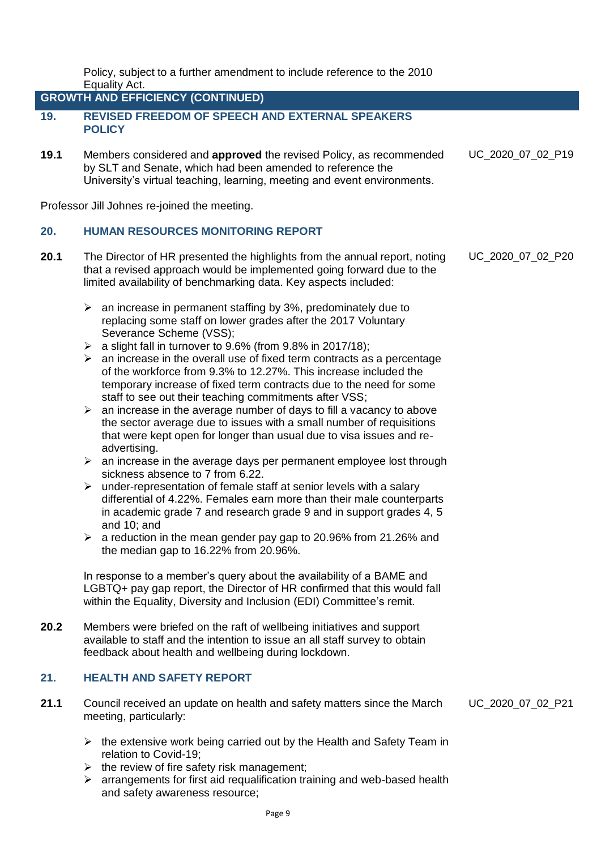Policy, subject to a further amendment to include reference to the 2010 Equality Act.

**GROWTH AND EFFICIENCY (CONTINUED)**

- **19. REVISED FREEDOM OF SPEECH AND EXTERNAL SPEAKERS POLICY**
- **19.1** Members considered and **approved** the revised Policy, as recommended by SLT and Senate, which had been amended to reference the University's virtual teaching, learning, meeting and event environments. UC\_2020\_07\_02\_P19

Professor Jill Johnes re-joined the meeting.

# **20. HUMAN RESOURCES MONITORING REPORT**

- **20.1** The Director of HR presented the highlights from the annual report, noting that a revised approach would be implemented going forward due to the limited availability of benchmarking data. Key aspects included:
	- $\geq$  an increase in permanent staffing by 3%, predominately due to replacing some staff on lower grades after the 2017 Voluntary Severance Scheme (VSS);
	- $\triangleright$  a slight fall in turnover to 9.6% (from 9.8% in 2017/18);
	- $\triangleright$  an increase in the overall use of fixed term contracts as a percentage of the workforce from 9.3% to 12.27%. This increase included the temporary increase of fixed term contracts due to the need for some staff to see out their teaching commitments after VSS;
	- $\triangleright$  an increase in the average number of days to fill a vacancy to above the sector average due to issues with a small number of requisitions that were kept open for longer than usual due to visa issues and readvertising.
	- $\geq$  an increase in the average days per permanent employee lost through sickness absence to 7 from 6.22.
	- $\triangleright$  under-representation of female staff at senior levels with a salary differential of 4.22%. Females earn more than their male counterparts in academic grade 7 and research grade 9 and in support grades 4, 5 and 10; and
	- ➢ a reduction in the mean gender pay gap to 20.96% from 21.26% and the median gap to 16.22% from 20.96%.

In response to a member's query about the availability of a BAME and LGBTQ+ pay gap report, the Director of HR confirmed that this would fall within the Equality, Diversity and Inclusion (EDI) Committee's remit.

**20.2** Members were briefed on the raft of wellbeing initiatives and support available to staff and the intention to issue an all staff survey to obtain feedback about health and wellbeing during lockdown.

# **21. HEALTH AND SAFETY REPORT**

- **21.1** Council received an update on health and safety matters since the March meeting, particularly:
	- $\triangleright$  the extensive work being carried out by the Health and Safety Team in relation to Covid-19;
	- $\triangleright$  the review of fire safety risk management;
	- ➢ arrangements for first aid requalification training and web-based health and safety awareness resource;

UC\_2020\_07\_02\_P21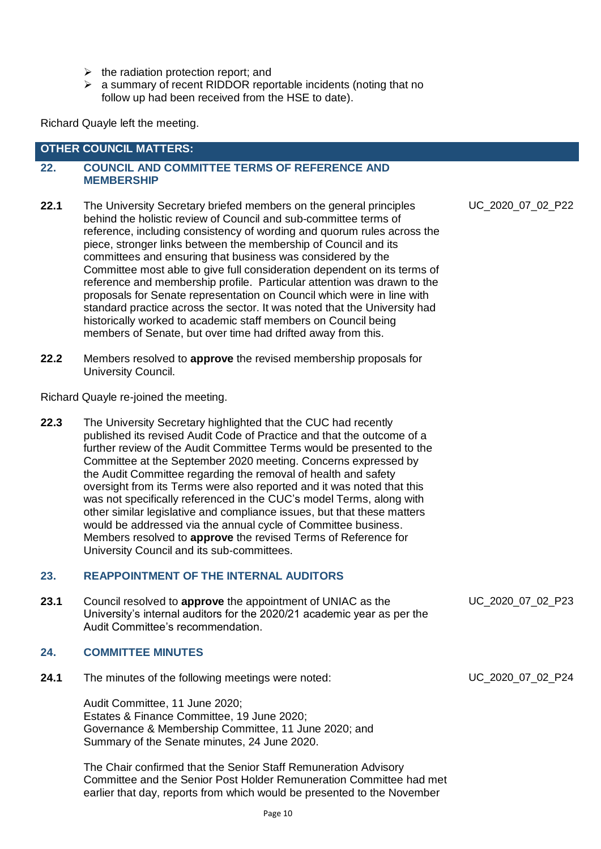- $\triangleright$  the radiation protection report; and
- ➢ a summary of recent RIDDOR reportable incidents (noting that no follow up had been received from the HSE to date).

Richard Quayle left the meeting.

# **OTHER COUNCIL MATTERS:**

### **22. COUNCIL AND COMMITTEE TERMS OF REFERENCE AND MEMBERSHIP**

- **22.1** The University Secretary briefed members on the general principles behind the holistic review of Council and sub-committee terms of reference, including consistency of wording and quorum rules across the piece, stronger links between the membership of Council and its committees and ensuring that business was considered by the Committee most able to give full consideration dependent on its terms of reference and membership profile. Particular attention was drawn to the proposals for Senate representation on Council which were in line with standard practice across the sector. It was noted that the University had historically worked to academic staff members on Council being members of Senate, but over time had drifted away from this.
- **22.2** Members resolved to **approve** the revised membership proposals for University Council.

Richard Quayle re-joined the meeting.

**22.3** The University Secretary highlighted that the CUC had recently published its revised Audit Code of Practice and that the outcome of a further review of the Audit Committee Terms would be presented to the Committee at the September 2020 meeting. Concerns expressed by the Audit Committee regarding the removal of health and safety oversight from its Terms were also reported and it was noted that this was not specifically referenced in the CUC's model Terms, along with other similar legislative and compliance issues, but that these matters would be addressed via the annual cycle of Committee business. Members resolved to **approve** the revised Terms of Reference for University Council and its sub-committees.

# **23. REAPPOINTMENT OF THE INTERNAL AUDITORS**

**23.1** Council resolved to **approve** the appointment of UNIAC as the University's internal auditors for the 2020/21 academic year as per the Audit Committee's recommendation.

# **24. COMMITTEE MINUTES**

**24.1** The minutes of the following meetings were noted:

Audit Committee, 11 June 2020; Estates & Finance Committee, 19 June 2020; Governance & Membership Committee, 11 June 2020; and Summary of the Senate minutes, 24 June 2020.

The Chair confirmed that the Senior Staff Remuneration Advisory Committee and the Senior Post Holder Remuneration Committee had met earlier that day, reports from which would be presented to the November

UC\_2020\_07\_02\_P22

UC\_2020\_07\_02\_P23